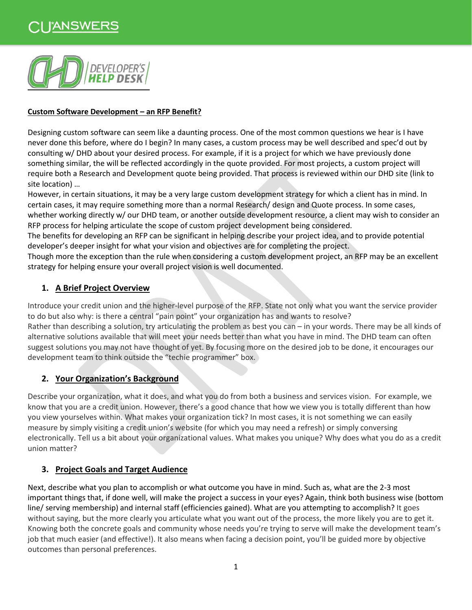

#### **Custom Software Development – an RFP Benefit?**

Designing custom software can seem like a daunting process. One of the most common questions we hear is I have never done this before, where do I begin? In many cases, a custom process may be well described and spec'd out by consulting w/ DHD about your desired process. For example, if it is a project for which we have previously done something similar, the will be reflected accordingly in the quote provided. For most projects, a custom project will require both a Research and Development quote being provided. That process is reviewed within our DHD site (link to site location) …

However, in certain situations, it may be a very large custom development strategy for which a client has in mind. In certain cases, it may require something more than a normal Research/ design and Quote process. In some cases, whether working directly w/ our DHD team, or another outside development resource, a client may wish to consider an RFP process for helping articulate the scope of custom project development being considered.

The benefits for developing an RFP can be significant in helping describe your project idea, and to provide potential developer's deeper insight for what your vision and objectives are for completing the project.

Though more the exception than the rule when considering a custom development project, an RFP may be an excellent strategy for helping ensure your overall project vision is well documented.

### **1. A Brief Project Overview**

Introduce your credit union and the higher-level purpose of the RFP. State not only what you want the service provider to do but also why: is there a central "pain point" your organization has and wants to resolve? Rather than describing a solution, try articulating the problem as best you can – in your words. There may be all kinds of alternative solutions available that will meet your needs better than what you have in mind. The DHD team can often suggest solutions you may not have thought of yet. By focusing more on the desired job to be done, it encourages our development team to think outside the "techie programmer" box.

## **2. Your Organization's Background**

Describe your organization, what it does, and what you do from both a business and services vision. For example, we know that you are a credit union. However, there's a good chance that how we view you is totally different than how you view yourselves within. What makes your organization tick? In most cases, it is not something we can easily measure by simply visiting a credit union's website (for which you may need a refresh) or simply conversing electronically. Tell us a bit about your organizational values. What makes you unique? Why does what you do as a credit union matter?

## **3. Project Goals and Target Audience**

Next, describe what you plan to accomplish or what outcome you have in mind. Such as, what are the 2-3 most important things that, if done well, will make the project a success in your eyes? Again, think both business wise (bottom line/ serving membership) and internal staff (efficiencies gained). What are you attempting to accomplish? It goes without saying, but the more clearly you articulate what you want out of the process, the more likely you are to get it. Knowing both the concrete goals and community whose needs you're trying to serve will make the development team's job that much easier (and effective!). It also means when facing a decision point, you'll be guided more by objective outcomes than personal preferences.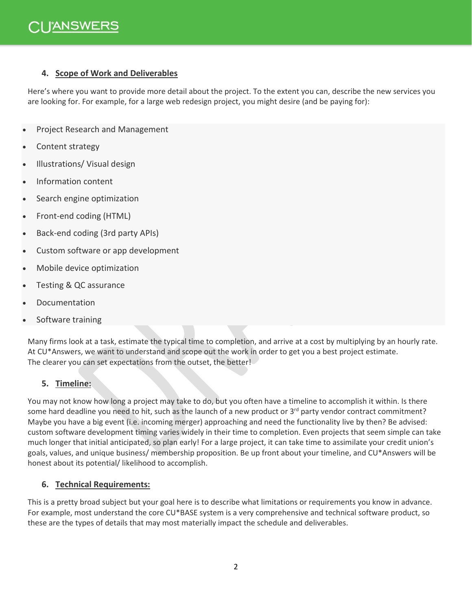#### **4. Scope of Work and Deliverables**

Here's where you want to provide more detail about the project. To the extent you can, describe the new services you are looking for. For example, for a large web redesign project, you might desire (and be paying for):

- Project Research and Management
- Content strategy
- Illustrations/ Visual design
- Information content
- Search engine optimization
- Front-end coding (HTML)
- Back-end coding (3rd party APIs)
- Custom software or app development
- Mobile device optimization
- Testing & QC assurance
- **Documentation**
- Software training

Many firms look at a task, estimate the typical time to completion, and arrive at a cost by multiplying by an hourly rate. At CU\*Answers, we want to understand and scope out the work in order to get you a best project estimate. The clearer you can set expectations from the outset, the better!

## **5. Timeline:**

You may not know how long a project may take to do, but you often have a timeline to accomplish it within. Is there some hard deadline you need to hit, such as the launch of a new product or  $3<sup>rd</sup>$  party vendor contract commitment? Maybe you have a big event (i.e. incoming merger) approaching and need the functionality live by then? Be advised: custom software development timing varies widely in their time to completion. Even projects that seem simple can take much longer that initial anticipated, so plan early! For a large project, it can take time to assimilate your credit union's goals, values, and unique business/ membership proposition. Be up front about your timeline, and CU\*Answers will be honest about its potential/ likelihood to accomplish.

#### **6. Technical Requirements:**

This is a pretty broad subject but your goal here is to describe what limitations or requirements you know in advance. For example, most understand the core CU\*BASE system is a very comprehensive and technical software product, so these are the types of details that may most materially impact the schedule and deliverables.